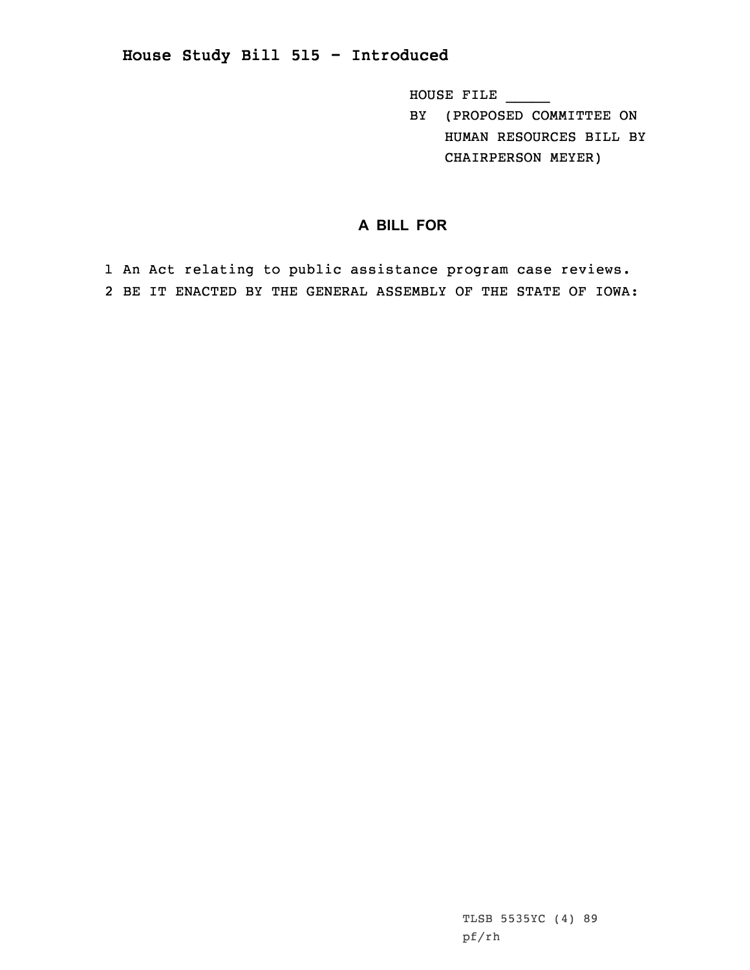HOUSE FILE \_\_\_\_\_

BY (PROPOSED COMMITTEE ON HUMAN RESOURCES BILL BY CHAIRPERSON MEYER)

## **A BILL FOR**

1 An Act relating to public assistance program case reviews. 2 BE IT ENACTED BY THE GENERAL ASSEMBLY OF THE STATE OF IOWA: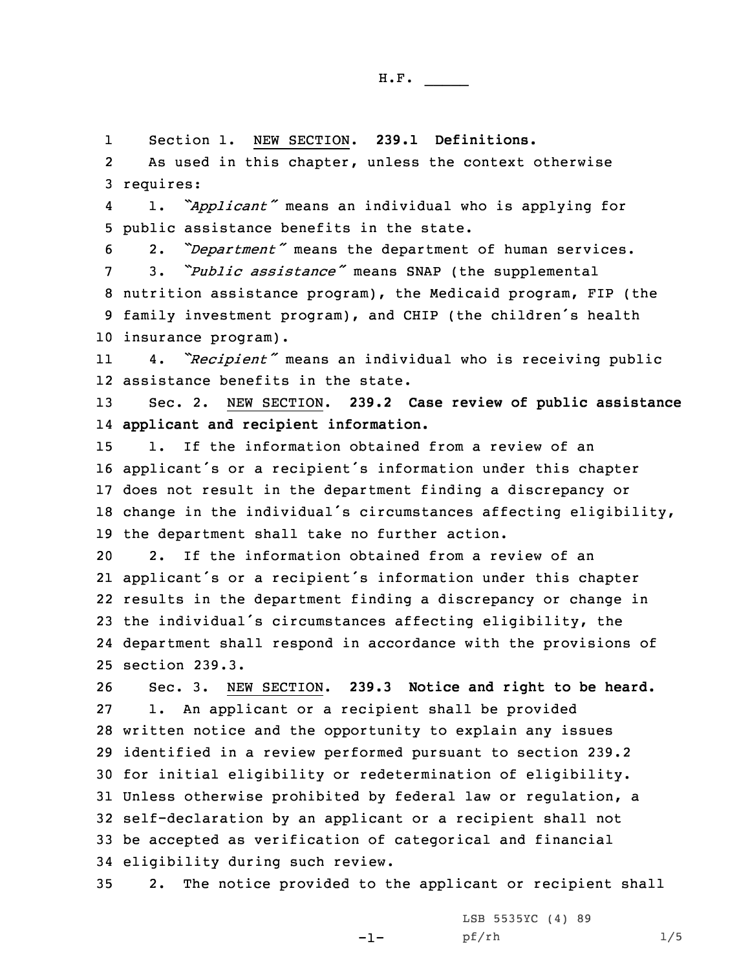1Section 1. NEW SECTION. **239.1 Definitions.**

2 As used in this chapter, unless the context otherwise 3 requires:

4 1. *"Applicant"* means an individual who is applying for 5 public assistance benefits in the state.

<sup>6</sup> 2. *"Department"* means the department of human services.

 3. *"Public assistance"* means SNAP (the supplemental nutrition assistance program), the Medicaid program, FIP (the family investment program), and CHIP (the children's health insurance program).

11 4. *"Recipient"* means an individual who is receiving public 12 assistance benefits in the state.

13 Sec. 2. NEW SECTION. **239.2 Case review of public assistance** 14 **applicant and recipient information.**

 1. If the information obtained from <sup>a</sup> review of an applicant's or <sup>a</sup> recipient's information under this chapter does not result in the department finding <sup>a</sup> discrepancy or change in the individual's circumstances affecting eligibility, the department shall take no further action.

 2. If the information obtained from <sup>a</sup> review of an applicant's or <sup>a</sup> recipient's information under this chapter results in the department finding <sup>a</sup> discrepancy or change in the individual's circumstances affecting eligibility, the department shall respond in accordance with the provisions of section 239.3.

 Sec. 3. NEW SECTION. **239.3 Notice and right to be heard.** 1. An applicant or <sup>a</sup> recipient shall be provided written notice and the opportunity to explain any issues identified in <sup>a</sup> review performed pursuant to section 239.2 for initial eligibility or redetermination of eligibility. Unless otherwise prohibited by federal law or regulation, <sup>a</sup> self-declaration by an applicant or <sup>a</sup> recipient shall not be accepted as verification of categorical and financial eligibility during such review.

35 2. The notice provided to the applicant or recipient shall

 $-1-$ 

LSB 5535YC (4) 89 pf/rh 1/5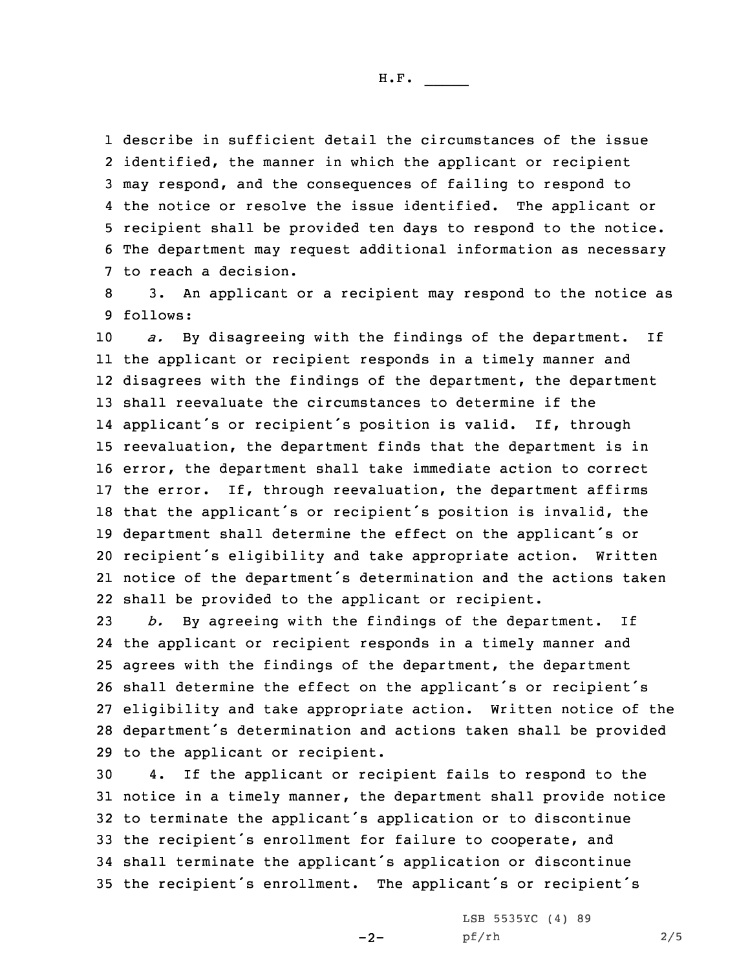H.F. \_\_\_\_\_

 describe in sufficient detail the circumstances of the issue identified, the manner in which the applicant or recipient may respond, and the consequences of failing to respond to the notice or resolve the issue identified. The applicant or recipient shall be provided ten days to respond to the notice. The department may request additional information as necessary to reach <sup>a</sup> decision.

8 3. An applicant or <sup>a</sup> recipient may respond to the notice as 9 follows:

 *a.* By disagreeing with the findings of the department. If the applicant or recipient responds in <sup>a</sup> timely manner and disagrees with the findings of the department, the department shall reevaluate the circumstances to determine if the applicant's or recipient's position is valid. If, through reevaluation, the department finds that the department is in error, the department shall take immediate action to correct 17 the error. If, through reevaluation, the department affirms that the applicant's or recipient's position is invalid, the department shall determine the effect on the applicant's or recipient's eligibility and take appropriate action. Written notice of the department's determination and the actions taken shall be provided to the applicant or recipient.

 *b.* By agreeing with the findings of the department. If the applicant or recipient responds in <sup>a</sup> timely manner and agrees with the findings of the department, the department shall determine the effect on the applicant's or recipient's eligibility and take appropriate action. Written notice of the department's determination and actions taken shall be provided to the applicant or recipient.

 4. If the applicant or recipient fails to respond to the notice in <sup>a</sup> timely manner, the department shall provide notice to terminate the applicant's application or to discontinue the recipient's enrollment for failure to cooperate, and shall terminate the applicant's application or discontinue the recipient's enrollment. The applicant's or recipient's

 $-2-$ 

LSB 5535YC (4) 89 pf/rh 2/5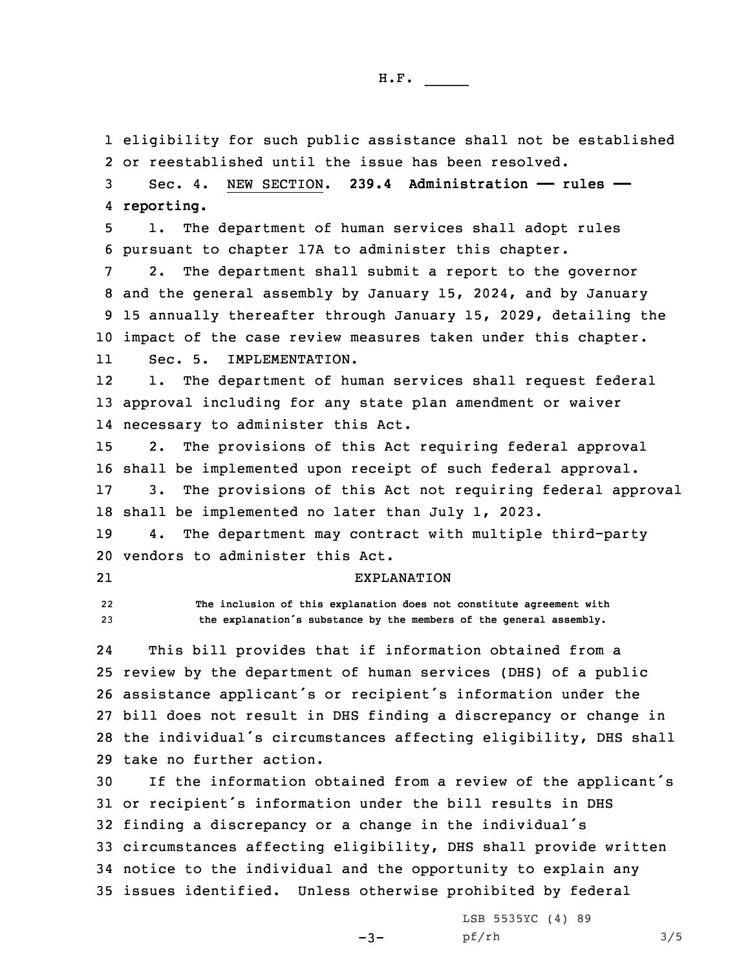eligibility for such public assistance shall not be established or reestablished until the issue has been resolved. Sec. 4. NEW SECTION. **239.4 Administration —— rules —— reporting.** 1. The department of human services shall adopt rules pursuant to chapter 17A to administer this chapter. 2. The department shall submit <sup>a</sup> report to the governor and the general assembly by January 15, 2024, and by January 15 annually thereafter through January 15, 2029, detailing the impact of the case review measures taken under this chapter. 11 Sec. 5. IMPLEMENTATION. 12 1. The department of human services shall request federal approval including for any state plan amendment or waiver necessary to administer this Act. 2. The provisions of this Act requiring federal approval shall be implemented upon receipt of such federal approval. 3. The provisions of this Act not requiring federal approval shall be implemented no later than July 1, 2023. 4. The department may contract with multiple third-party vendors to administer this Act. 21 EXPLANATION 22 **The inclusion of this explanation does not constitute agreement with the explanation's substance by the members of the general assembly.** 24 This bill provides that if information obtained from <sup>a</sup> review by the department of human services (DHS) of <sup>a</sup> public assistance applicant's or recipient's information under the bill does not result in DHS finding <sup>a</sup> discrepancy or change in the individual's circumstances affecting eligibility, DHS shall take no further action. If the information obtained from <sup>a</sup> review of the applicant's or recipient's information under the bill results in DHS finding <sup>a</sup> discrepancy or <sup>a</sup> change in the individual's circumstances affecting eligibility, DHS shall provide written notice to the individual and the opportunity to explain any issues identified. Unless otherwise prohibited by federal

 $-3-$ 

LSB 5535YC (4) 89 pf/rh 3/5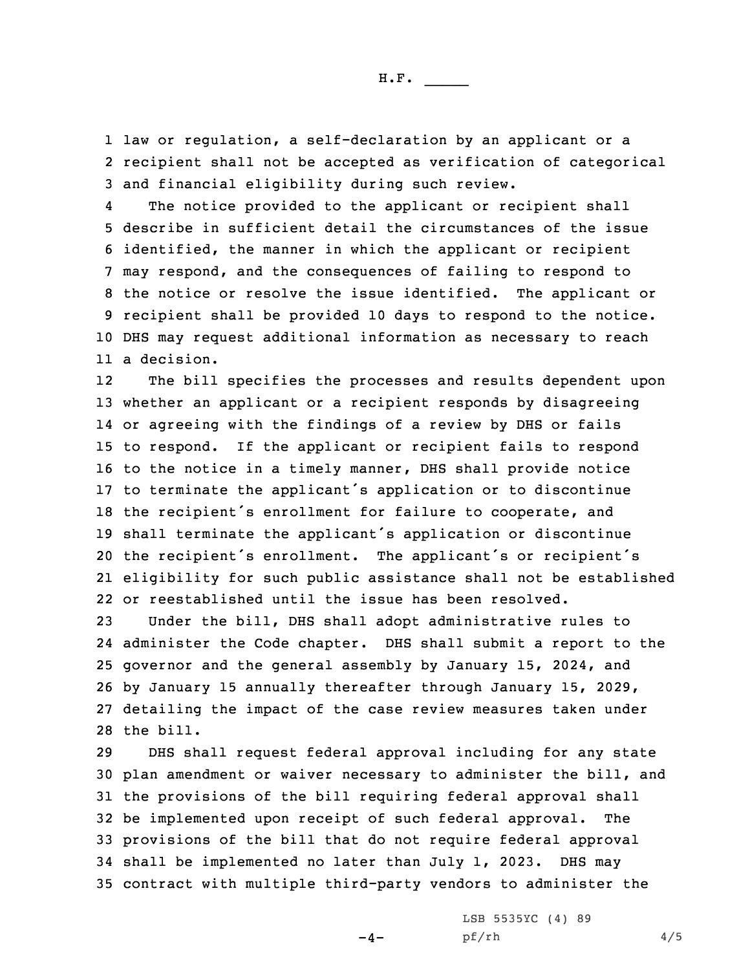H.F. \_\_\_\_\_

1 law or regulation, <sup>a</sup> self-declaration by an applicant or <sup>a</sup> 2 recipient shall not be accepted as verification of categorical 3 and financial eligibility during such review.

4 The notice provided to the applicant or recipient shall describe in sufficient detail the circumstances of the issue identified, the manner in which the applicant or recipient may respond, and the consequences of failing to respond to the notice or resolve the issue identified. The applicant or recipient shall be provided 10 days to respond to the notice. DHS may request additional information as necessary to reach <sup>a</sup> decision.

12 The bill specifies the processes and results dependent upon whether an applicant or <sup>a</sup> recipient responds by disagreeing or agreeing with the findings of <sup>a</sup> review by DHS or fails to respond. If the applicant or recipient fails to respond to the notice in <sup>a</sup> timely manner, DHS shall provide notice to terminate the applicant's application or to discontinue the recipient's enrollment for failure to cooperate, and shall terminate the applicant's application or discontinue the recipient's enrollment. The applicant's or recipient's eligibility for such public assistance shall not be established or reestablished until the issue has been resolved.

 Under the bill, DHS shall adopt administrative rules to administer the Code chapter. DHS shall submit <sup>a</sup> report to the governor and the general assembly by January 15, 2024, and by January 15 annually thereafter through January 15, 2029, detailing the impact of the case review measures taken under the bill.

 DHS shall request federal approval including for any state plan amendment or waiver necessary to administer the bill, and the provisions of the bill requiring federal approval shall be implemented upon receipt of such federal approval. The provisions of the bill that do not require federal approval shall be implemented no later than July 1, 2023. DHS may contract with multiple third-party vendors to administer the

 $-4-$ 

LSB 5535YC (4) 89 pf/rh 4/5